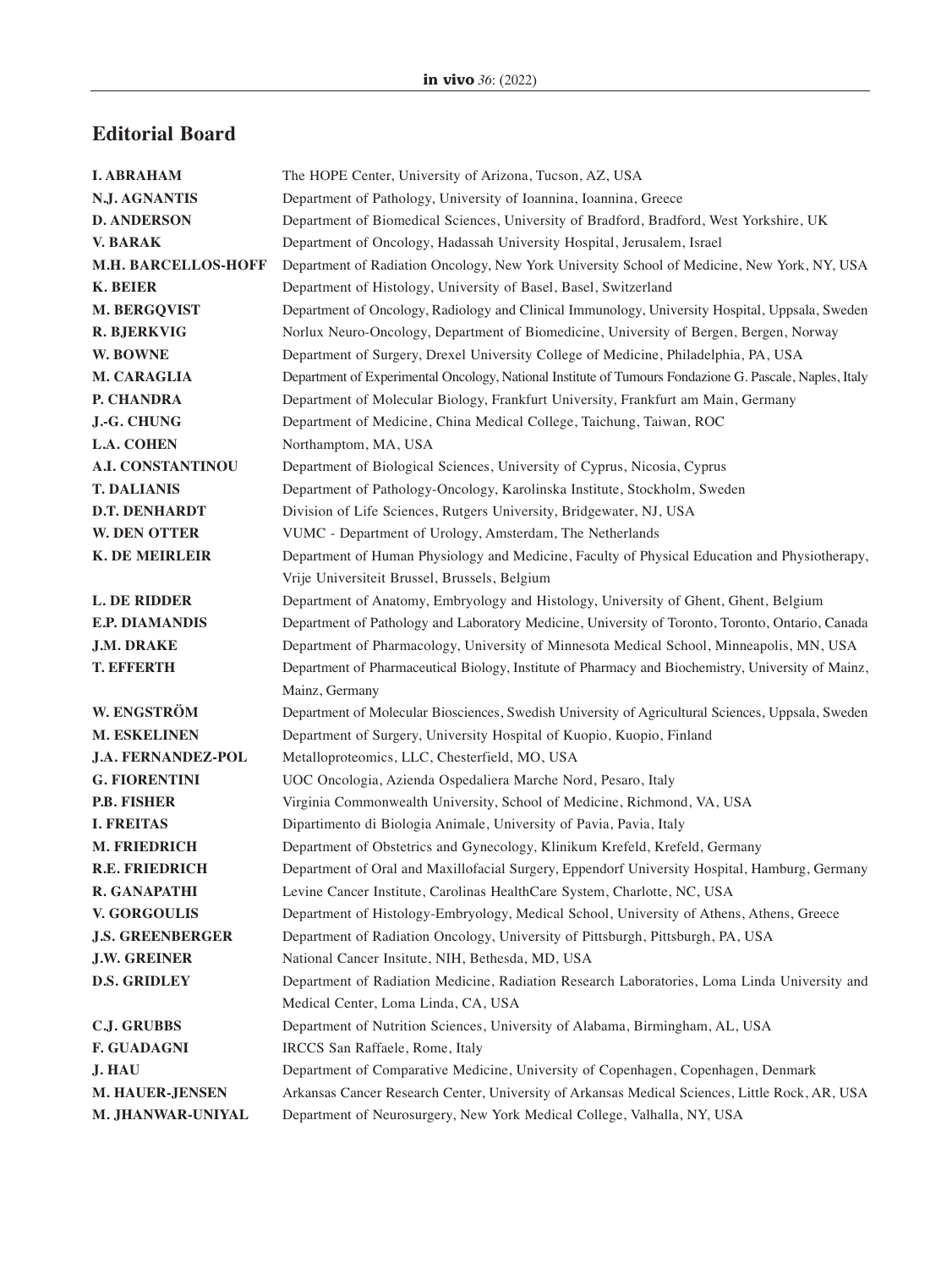## **Editorial Board**

| <b>I. ABRAHAM</b>          | The HOPE Center, University of Arizona, Tucson, AZ, USA                                                 |
|----------------------------|---------------------------------------------------------------------------------------------------------|
| <b>N.J. AGNANTIS</b>       | Department of Pathology, University of Ioannina, Ioannina, Greece                                       |
| <b>D. ANDERSON</b>         | Department of Biomedical Sciences, University of Bradford, Bradford, West Yorkshire, UK                 |
| <b>V. BARAK</b>            | Department of Oncology, Hadassah University Hospital, Jerusalem, Israel                                 |
| <b>M.H. BARCELLOS-HOFF</b> | Department of Radiation Oncology, New York University School of Medicine, New York, NY, USA             |
| <b>K. BEIER</b>            | Department of Histology, University of Basel, Basel, Switzerland                                        |
| M. BERGQVIST               | Department of Oncology, Radiology and Clinical Immunology, University Hospital, Uppsala, Sweden         |
| <b>R. BJERKVIG</b>         | Norlux Neuro-Oncology, Department of Biomedicine, University of Bergen, Bergen, Norway                  |
| W. BOWNE                   | Department of Surgery, Drexel University College of Medicine, Philadelphia, PA, USA                     |
| <b>M. CARAGLIA</b>         | Department of Experimental Oncology, National Institute of Tumours Fondazione G. Pascale, Naples, Italy |
| P. CHANDRA                 | Department of Molecular Biology, Frankfurt University, Frankfurt am Main, Germany                       |
| J.-G. CHUNG                | Department of Medicine, China Medical College, Taichung, Taiwan, ROC                                    |
| <b>L.A. COHEN</b>          | Northamptom, MA, USA                                                                                    |
| <b>A.I. CONSTANTINOU</b>   | Department of Biological Sciences, University of Cyprus, Nicosia, Cyprus                                |
| <b>T. DALIANIS</b>         | Department of Pathology-Oncology, Karolinska Institute, Stockholm, Sweden                               |
| D.T. DENHARDT              | Division of Life Sciences, Rutgers University, Bridgewater, NJ, USA                                     |
| <b>W. DEN OTTER</b>        | VUMC - Department of Urology, Amsterdam, The Netherlands                                                |
| <b>K. DE MEIRLEIR</b>      | Department of Human Physiology and Medicine, Faculty of Physical Education and Physiotherapy,           |
|                            | Vrije Universiteit Brussel, Brussels, Belgium                                                           |
| <b>L. DE RIDDER</b>        | Department of Anatomy, Embryology and Histology, University of Ghent, Ghent, Belgium                    |
| <b>E.P. DIAMANDIS</b>      | Department of Pathology and Laboratory Medicine, University of Toronto, Toronto, Ontario, Canada        |
| <b>J.M. DRAKE</b>          | Department of Pharmacology, University of Minnesota Medical School, Minneapolis, MN, USA                |
| <b>T. EFFERTH</b>          | Department of Pharmaceutical Biology, Institute of Pharmacy and Biochemistry, University of Mainz,      |
|                            | Mainz, Germany                                                                                          |
| W. ENGSTRÖM                | Department of Molecular Biosciences, Swedish University of Agricultural Sciences, Uppsala, Sweden       |
| <b>M. ESKELINEN</b>        | Department of Surgery, University Hospital of Kuopio, Kuopio, Finland                                   |
| <b>J.A. FERNANDEZ-POL</b>  | Metalloproteomics, LLC, Chesterfield, MO, USA                                                           |
| <b>G. FIORENTINI</b>       | UOC Oncologia, Azienda Ospedaliera Marche Nord, Pesaro, Italy                                           |
| <b>P.B. FISHER</b>         | Virginia Commonwealth University, School of Medicine, Richmond, VA, USA                                 |
| <b>I. FREITAS</b>          | Dipartimento di Biologia Animale, University of Pavia, Pavia, Italy                                     |
| <b>M. FRIEDRICH</b>        | Department of Obstetrics and Gynecology, Klinikum Krefeld, Krefeld, Germany                             |
| <b>R.E. FRIEDRICH</b>      | Department of Oral and Maxillofacial Surgery, Eppendorf University Hospital, Hamburg, Germany           |
| R. GANAPATHI               | Levine Cancer Institute, Carolinas HealthCare System, Charlotte, NC, USA                                |
| <b>V. GORGOULIS</b>        | Department of Histology-Embryology, Medical School, University of Athens, Athens, Greece                |
| <b>J.S. GREENBERGER</b>    | Department of Radiation Oncology, University of Pittsburgh, Pittsburgh, PA, USA                         |
| <b>J.W. GREINER</b>        | National Cancer Insitute, NIH, Bethesda, MD, USA                                                        |
| <b>D.S. GRIDLEY</b>        | Department of Radiation Medicine, Radiation Research Laboratories, Loma Linda University and            |
|                            | Medical Center, Loma Linda, CA, USA                                                                     |
| <b>C.J. GRUBBS</b>         | Department of Nutrition Sciences, University of Alabama, Birmingham, AL, USA                            |
| <b>F. GUADAGNI</b>         | IRCCS San Raffaele, Rome, Italy                                                                         |
| <b>J. HAU</b>              | Department of Comparative Medicine, University of Copenhagen, Copenhagen, Denmark                       |
| M. HAUER-JENSEN            | Arkansas Cancer Research Center, University of Arkansas Medical Sciences, Little Rock, AR, USA          |
| <b>M. JHANWAR-UNIYAL</b>   | Department of Neurosurgery, New York Medical College, Valhalla, NY, USA                                 |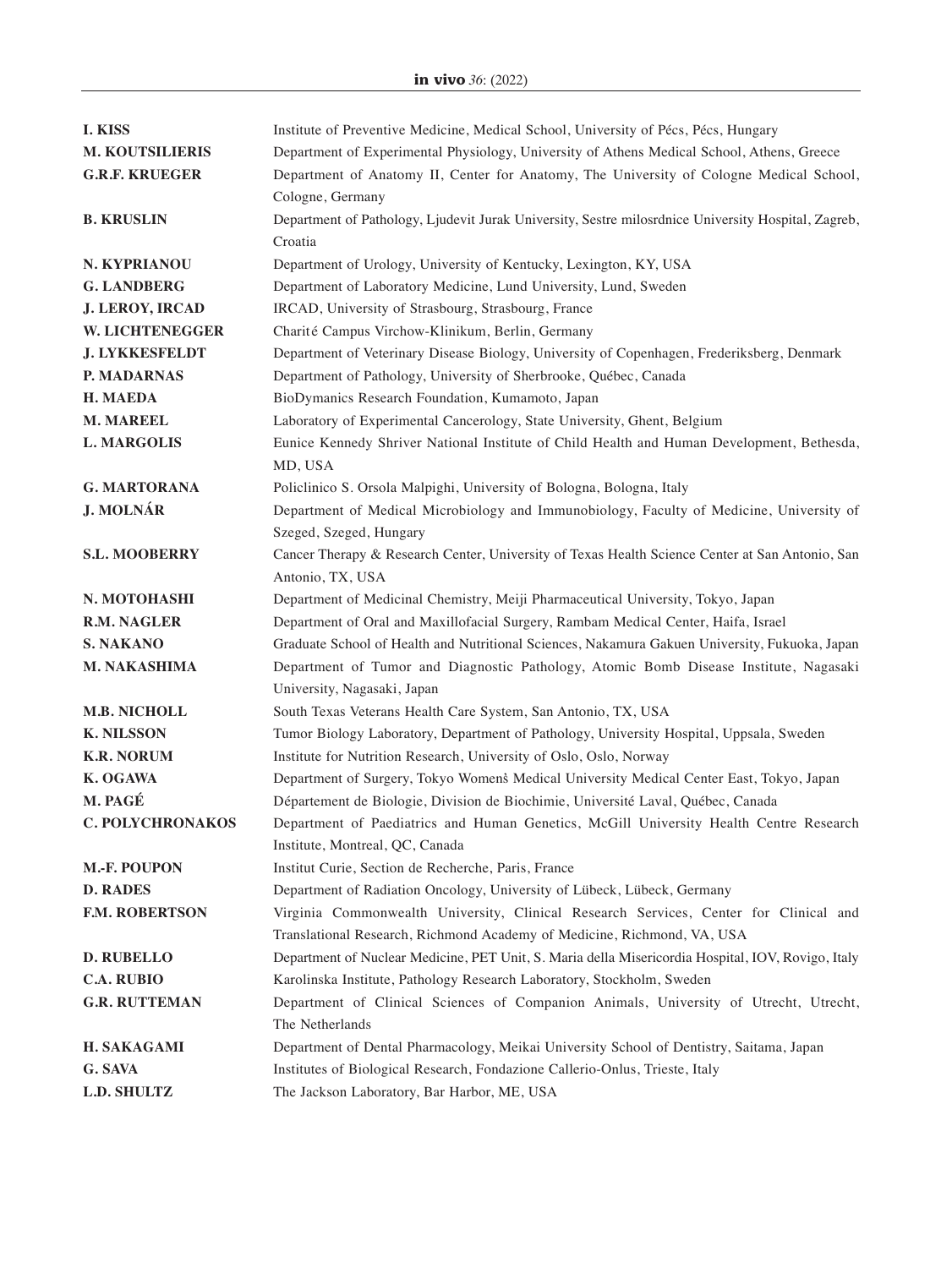| <b>I. KISS</b>          | Institute of Preventive Medicine, Medical School, University of Pécs, Pécs, Hungary                 |
|-------------------------|-----------------------------------------------------------------------------------------------------|
| <b>M. KOUTSILIERIS</b>  | Department of Experimental Physiology, University of Athens Medical School, Athens, Greece          |
| <b>G.R.F. KRUEGER</b>   | Department of Anatomy II, Center for Anatomy, The University of Cologne Medical School,             |
|                         | Cologne, Germany                                                                                    |
| <b>B. KRUSLIN</b>       | Department of Pathology, Ljudevit Jurak University, Sestre milosrdnice University Hospital, Zagreb, |
|                         | Croatia                                                                                             |
| N. KYPRIANOU            | Department of Urology, University of Kentucky, Lexington, KY, USA                                   |
| <b>G. LANDBERG</b>      | Department of Laboratory Medicine, Lund University, Lund, Sweden                                    |
| <b>J. LEROY, IRCAD</b>  | IRCAD, University of Strasbourg, Strasbourg, France                                                 |
| W. LICHTENEGGER         | Charité Campus Virchow-Klinikum, Berlin, Germany                                                    |
| <b>J. LYKKESFELDT</b>   | Department of Veterinary Disease Biology, University of Copenhagen, Frederiksberg, Denmark          |
| P. MADARNAS             | Department of Pathology, University of Sherbrooke, Québec, Canada                                   |
| <b>H. MAEDA</b>         | BioDymanics Research Foundation, Kumamoto, Japan                                                    |
| <b>M. MAREEL</b>        | Laboratory of Experimental Cancerology, State University, Ghent, Belgium                            |
| <b>L. MARGOLIS</b>      | Eunice Kennedy Shriver National Institute of Child Health and Human Development, Bethesda,          |
|                         | MD, USA                                                                                             |
| <b>G. MARTORANA</b>     | Policlinico S. Orsola Malpighi, University of Bologna, Bologna, Italy                               |
| <b>J. MOLNÁR</b>        | Department of Medical Microbiology and Immunobiology, Faculty of Medicine, University of            |
|                         | Szeged, Szeged, Hungary                                                                             |
| <b>S.L. MOOBERRY</b>    | Cancer Therapy & Research Center, University of Texas Health Science Center at San Antonio, San     |
|                         | Antonio, TX, USA                                                                                    |
| N. MOTOHASHI            | Department of Medicinal Chemistry, Meiji Pharmaceutical University, Tokyo, Japan                    |
| <b>R.M. NAGLER</b>      | Department of Oral and Maxillofacial Surgery, Rambam Medical Center, Haifa, Israel                  |
| <b>S. NAKANO</b>        | Graduate School of Health and Nutritional Sciences, Nakamura Gakuen University, Fukuoka, Japan      |
| <b>M. NAKASHIMA</b>     | Department of Tumor and Diagnostic Pathology, Atomic Bomb Disease Institute, Nagasaki               |
|                         | University, Nagasaki, Japan                                                                         |
| <b>M.B. NICHOLL</b>     | South Texas Veterans Health Care System, San Antonio, TX, USA                                       |
| <b>K. NILSSON</b>       | Tumor Biology Laboratory, Department of Pathology, University Hospital, Uppsala, Sweden             |
| <b>K.R. NORUM</b>       | Institute for Nutrition Research, University of Oslo, Oslo, Norway                                  |
| K. OGAWA                | Department of Surgery, Tokyo Womens Medical University Medical Center East, Tokyo, Japan            |
| M. PAGÉ                 | Département de Biologie, Division de Biochimie, Université Laval, Québec, Canada                    |
| <b>C. POLYCHRONAKOS</b> | Department of Paediatrics and Human Genetics, McGill University Health Centre Research              |
|                         | Institute, Montreal, QC, Canada                                                                     |
| M.-F. POUPON            | Institut Curie, Section de Recherche, Paris, France                                                 |
| <b>D. RADES</b>         | Department of Radiation Oncology, University of Lübeck, Lübeck, Germany                             |
| <b>F.M. ROBERTSON</b>   | Virginia Commonwealth University, Clinical Research Services, Center for Clinical and               |
|                         | Translational Research, Richmond Academy of Medicine, Richmond, VA, USA                             |
| <b>D. RUBELLO</b>       | Department of Nuclear Medicine, PET Unit, S. Maria della Misericordia Hospital, IOV, Rovigo, Italy  |
| <b>C.A. RUBIO</b>       | Karolinska Institute, Pathology Research Laboratory, Stockholm, Sweden                              |
| <b>G.R. RUTTEMAN</b>    | Department of Clinical Sciences of Companion Animals, University of Utrecht, Utrecht,               |
|                         | The Netherlands                                                                                     |
| <b>H. SAKAGAMI</b>      | Department of Dental Pharmacology, Meikai University School of Dentistry, Saitama, Japan            |
| G. SAVA                 | Institutes of Biological Research, Fondazione Callerio-Onlus, Trieste, Italy                        |
| <b>L.D. SHULTZ</b>      | The Jackson Laboratory, Bar Harbor, ME, USA                                                         |